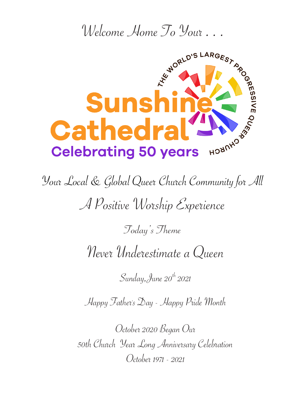

Your Local & Global Queer Church Community for All

A Positive Worship Experience

Today's Theme

Never Underestimate a Queen

Sunday, June  $20^{th}$  2021

Happy Father's Day - Happy Pride Month

October 2020 Began Our 50th Church Year Long Anniversary Celebration October 1971 - 2021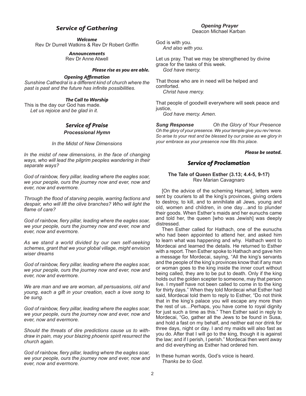## *Service of Gathering*

*Welcome*

Rev Dr Durrell Watkins & Rev Dr Robert Griffin

### *Announcements*

Rev Dr Anne Atwell

#### *Please rise as you are able.*

#### *Opening Affirmation*

*Sunshine Cathedral is a different kind of church where the past is past and the future has infinite possibilities.*

#### *The Call to Worship*

This is the day our God has made. *Let us rejoice and be glad in it.*

#### *Service of Praise Processional Hymn*

*In the Midst of New Dimensions*

*In the midst of new dimensions, in the face of changing ways, who will lead the pilgrim peoples wandering in their separate ways?*

*God of rainbow, fiery pillar, leading where the eagles soar, we your people, ours the journey now and ever, now and ever, now and evermore.*

*Through the flood of starving people, warring factions and despair, who will lift the olive branches? Who will light the flame of care?*

*God of rainbow, fiery pillar, leading where the eagles soar, we your people, ours the journey now and ever, now and ever, now and evermore.*

*As we stand a world divided by our own self-seeking schemes, grant that we your global village, might envision wiser dreams*

*God of rainbow, fiery pillar, leading where the eagles soar, we your people, ours the journey now and ever, now and ever, now and evermore.*

*We are man and we are woman, all persuasions, old and young, each a gift in your creation, each a love song to be sung.*

*God of rainbow, fiery pillar, leading where the eagles soar, we your people, ours the journey now and ever, now and ever, now and evermore.*

*Should the threats of dire predictions cause us to withdraw in pain, may your blazing phoenix spirit resurrect the church again.*

*God of rainbow, fiery pillar, leading where the eagles soar, we your people, ours the journey now and ever, now and ever, now and evermore.*

God is with you. *And also with you.*

Let us pray. That we may be strengthened by divine grace for the tasks of this week. *God have mercy.*

That those who are in need will be helped and comforted. *Christ have mercy.*

That people of goodwill everywhere will seek peace and justice.

*God have mercy. Amen.*

*Sung Response Oh the Glory of Your Presence Oh the glory of your presence. We your temple give you rev'rence. So arise to your rest and be blessed by our praise as we glory in your embrace as your presence now fills this place.* 

#### *Please be seated.*

#### *Service of Proclamation*

#### **The Tale of Queen Esther (3.13; 4.4-5, 9-17)**  Rev Marian Cavagnaro

[On the advice of the scheming Haman], letters were sent by couriers to all the king's provinces, giving orders to destroy, to kill, and to annihilate all Jews, young and old, women and children, in one day…and to plunder their goods. When Esther's maids and her eunuchs came and told her, the queen [who was Jewish] was deeply distressed.

Then Esther called for Hathach, one of the eunuchs who had been appointed to attend her, and asked him to learn what was happening and why. Hathach went to Mordecai and learned the details. He returned to Esther with a report. Then Esther spoke to Hathach and gave him a message for Mordecai, saying, "All the king's servants and the people of the king's provinces know that if any man or woman goes to the king inside the inner court without being called, they are to be put to death. Only if the king holds out the golden scepter to someone, may that person live. I myself have not been called to come in to the king for thirty days." When they told Mordecai what Esther had said, Mordecai told them to reply to Esther, "Do not think that in the king's palace you will escape any more than the rest of us…Perhaps, you have come to royal dignity for just such a time as this." Then Esther said in reply to Mordecai, "Go, gather all the Jews to be found in Susa, and hold a fast on my behalf, and neither eat nor drink for three days, night or day. I and my maids will also fast as you do. After that I will go to the king, though it is against the law; and if I perish, I perish." Mordecai then went away and did everything as Esther had ordered him.

In these human words, God's voice is heard. *Thanks be to God.*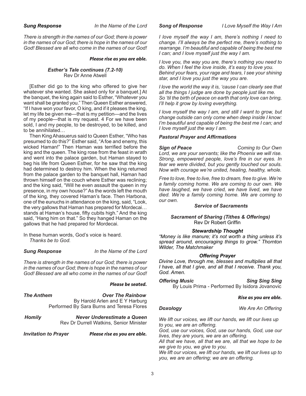*There is strength in the names of our God; there is power in the names of our God; there is hope in the names of our God! Blessed are all who come in the names of our God!*

#### *Please rise as you are able.*

#### *Esther's Tale continues (7.2-10)* Rev Dr Anne Atwell

[Esther did go to the king who offered to give her whatever she wanted. She asked only for a banquet.] At the banquet, the king again said to Esther, "Whatever you want shall be granted you." Then Queen Esther answered, "If I have won your favor, O king, and if it pleases the king, let my life be given me—that is my petition—and the lives of my people—that is my request. 4 For we have been sold, I and my people, to be destroyed, to be killed, and to be annihilated…

Then King Ahasuerus said to Queen Esther, "Who has presumed to do this?" Esther said, "A foe and enemy, this wicked Haman!" Then Haman was terrified before the king and the queen. The king rose from the feast in wrath and went into the palace garden, but Haman stayed to beg his life from Queen Esther, for he saw that the king had determined to destroy him. When the king returned from the palace garden to the banquet hall, Haman had thrown himself on the couch where Esther was reclining; and the king said, "Will he even assault the queen in my presence, in my own house?" As the words left the mouth of the king, they covered Haman's face. Then Harbona, one of the eunuchs in attendance on the king, said, "Look, the very gallows that Haman has prepared for Mordecai… stands at Haman's house, fifty cubits high." And the king said, "Hang him on that." So they hanged Haman on the gallows that he had prepared for Mordecai.

In these human words, God's voice is heard. *Thanks be to God.*

*Sung Response In the Name of the Lord*

*There is strength in the names of our God; there is power in the names of our God; there is hope in the names of our God! Blessed are all who come in the names of our God!*

#### *Please be seated.*

*The Anthem Over The Rainbow* By Harold Arlen and E Y Harburg Performed By Sara Burns and Teresa Flores

*Homily Never Underestimate a Queen*  Rev Dr Durrell Watkins, Senior Minister

*Invitation to Prayer Please rise as you are able.*

*Song of Response I Love Myself the Way I Am*

*I love myself the way I am, there's nothing I need to change. I'll always be the perfect me, there's nothing to rearrange. I'm beautiful and capable of being the best me I can; and I love myself just the way I am.*

*I love you, the way you are, there's nothing you need to do. When I feel the love inside, it's easy to love you. Behind your fears, your rage and tears, I see your shining star, and I love you just the way you are.*

*I love the world the way it is, 'cause I can clearly see that all the things I judge are done by people just like me. So 'til the birth of peace on earth that only love can bring, I'll help it grow by loving everything.*

*I love myself the way I am, and still I want to grow, but change outside can only come when deep inside I know: I'm beautiful and capable of being the best me I can; and I love myself just the way I am.*

#### *Pastoral Prayer and Affirmations*

*Sign of Peace Coming to Our Own Lord, we are your servants; like the Phoenix we will rise. Strong, empowered people, love's fire in our eyes. In fear we were divided, but you gently touched our souls. Now with courage we're united, healing, healthy, whole.* 

*Free to love, free to live, free to dream, free to give. We're a family coming home. We are coming to our own. We have laughed, we have cried, we have lived, we have died. We're a family coming home. We are coming to our own.*

#### *Service of Sacraments*

*Sacrament of Sharing (Tithes & Offerings)* Rev Dr Robert Griffin

#### *Stewardship Thought*

*"Money is like manure; it's not worth a thing unless it's spread around, encouraging things to grow." Thornton Wilder, The Matchmaker*

#### *Offering Prayer*

*Divine Love, through me, blesses and multiplies all that I have, all that I give, and all that I receive. Thank you, God. Amen.*

**Offering Music** Sing Sing Sing By Louis Prima - Performed By Isidora Jovanovic

#### *Rise as you are able.*

*Doxology**We Are An Offering*

*We lift our voices, we lift our hands, we lift our lives up to you, we are an offering.*

*God, use our voices, God, use our hands, God, use our lives, they are yours, we are an offering.*

*All that we have, all that we are, all that we hope to be we give to you, we give to you.*

*We lift our voices, we lift our hands, we lift our lives up to you, we are an offering; we are an offering.*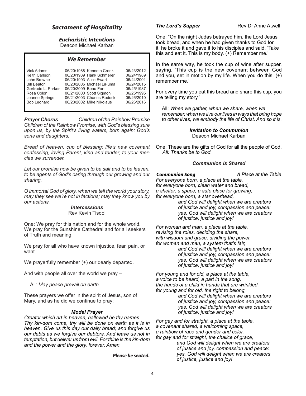### *Sacrament of Hospitality*

## *Eucharistic Intentions*

Deacon Michael Karban

#### *We Remember*

| <b>Vick Adams</b>  |                      | 06/20/1988 Kenneth Cronk  | 06/23/2012 |
|--------------------|----------------------|---------------------------|------------|
| Keith Carlson      |                      | 06/20/1989 Hank Schmerer  | 06/24/1989 |
| John Browne        |                      | 06/20/1993 Alice Ewart    | 06/24/2001 |
| <b>Bill Beaton</b> |                      | 06/20/2005 Michael LiPuma | 06/24/2015 |
| Gertrude L. Parker | 06/20/2009 Beau Fort |                           | 06/25/1987 |
| Rosa Colon         |                      | 06/21/2000 Scott Sigmon   | 06/25/1995 |
| Joanne Springs     |                      | 06/21/2003 Charles Rodock | 06/26/2010 |
| <b>Bob Leonard</b> |                      | 06/23/2002 Mike Nikolaus  | 06/26/2016 |
|                    |                      |                           |            |

*Prayer Chorus Children of the Rainbow Promise Children of the Rainbow Promise, with God's blessing sure upon us, by the Spirit's living waters, born again: God's sons and daughters.*

*Bread of heaven, cup of blessing; life's new covenant confessing, loving Parent, kind and tender, to your mercies we surrender.*

*Let our promise now be given to be salt and to be leaven, to be agents of God's caring through our growing and our sharing.* 

*O immortal God of glory, when we tell the world your story, may they see we're not in factions; may they know you by our actions.* 

### *Intercessions*

Rev Kevin Tisdol

One: We pray for this nation and for the whole world. We pray for the Sunshine Cathedral and for all seekers of Truth and meaning.

We pray for all who have known injustice, fear, pain, or want.

We prayerfully remember  $(+)$  our dearly departed.

And with people all over the world we pray –

All: *May peace prevail on earth.* 

These prayers we offer in the spirit of Jesus, son of Mary, and as he did we continue to pray:

#### *Model Prayer*

*Creator which art in heaven, hallowed be thy names. Thy kin-dom come, thy will be done on earth as it is in heaven. Give us this day our daily bread; and forgive us our debts as we forgive our debtors. And leave us not in temptation, but deliver us from evil. For thine is the kin-dom and the power and the glory, forever. Amen.*

*Please be seated.*

#### **The Lord's Supper** Rev Dr Anne Atwell

One: "On the night Judas betrayed him, the Lord Jesus took bread, and when he had given thanks to God for it, he broke it and gave it to his disciples and said, 'Take this and eat it. This is my body. (+) Remember me.'

In the same way, he took the cup of wine after supper, saying, 'This cup is the new covenant between God and you, set in motion by my life. When you do this, (+) remember me.'

For every time you eat this bread and share this cup, you are telling my story."

All: *When we gather, when we share, when we remember, when we live our lives in ways that bring hope to other lives, we embody the life of Christ. And so it is.*

> *Invitation to Communion* Deacon Michael Karban

One: These are the gifts of God for all the people of God. *All: Thanks be to God.*

#### *Communion is Shared*

**Communion Song**<br> **A Place at the Table** 

*For everyone born, a place at the table,*

*for everyone born, clean water and bread,*

*a shelter, a space, a safe place for growing,*

*for everyone born, a star overhead,*

 *and God will delight when we are creators of justice and joy, compassion and peace: yes, God will delight when we are creators of justice, justice and joy!*

*For woman and man, a place at the table, revising the roles, deciding the share, with wisdom and grace, dividing the power, for woman and man, a system that's fair, and God will delight when we are creators of justice and joy, compassion and peace: yes, God will delight when we are creators of justice, justice and joy!*

*For young and for old, a place at the table, a voice to be heard, a part in the song, the hands of a child in hands that are wrinkled, for young and for old, the right to belong, and God will delight when we are creators*

 *of justice and joy, compassion and peace: yes, God will delight when we are creators of justice, justice and joy!*

*For gay and for straight, a place at the table, a covenant shared, a welcoming space, a rainbow of race and gender and color, for gay and for straight, the chalice of grace,*

 *and God will delight when we are creators of justice and joy, compassion and peace: yes, God will delight when we are creators of justice, justice and joy!*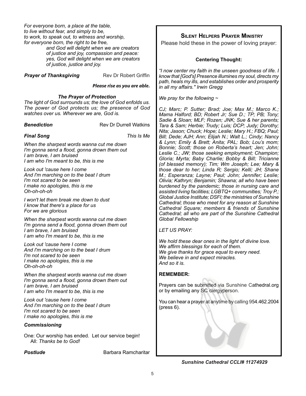*For everyone born, a place at the table, to live without fear, and simply to be, to work, to speak out, to witness and worship, for everyone born, the right to be free, and God will delight when we are creators*

 *of justice and joy, compassion and peace: yes, God will delight when we are creators of justice, justice and joy.*

**Prayer of Thanksgiving Rev Dr Robert Griffin** 

#### *Please rise as you are able.*

#### *The Prayer of Protection*

*The light of God surrounds us; the love of God enfolds us. The power of God protects us; the presence of God watches over us. Wherever we are, God is.*

**Benediction Rev Dr Durrell Watkins** 

*Final Song This Is Me*

*When the sharpest words wanna cut me down I'm gonna send a flood, gonna drown them out I am brave, I am bruised I am who I'm meant to be, this is me*

*Look out 'cause here I come And I'm marching on to the beat I drum I'm not scared to be seen I make no apologies, this is me Oh-oh-oh-oh*

*I won't let them break me down to dust I know that there's a place for us For we are glorious*

*When the sharpest words wanna cut me down I'm gonna send a flood, gonna drown them out I am brave, I am bruised I am who I'm meant to be, this is me*

*Look out 'cause here I come And I'm marching on to the beat I drum I'm not scared to be seen I make no apologies, this is me Oh-oh-oh-oh*

*When the sharpest words wanna cut me down I'm gonna send a flood, gonna drown them out I am brave, I am bruised I am who I'm meant to be, this is me*

*Look out 'cause here I come And I'm marching on to the beat I drum I'm not scared to be seen I make no apologies, this is me*

### *Commissioning*

One: Our worship has ended. Let our service begin! All: *Thanks be to God!*

**Postlude Barbara Ramcharitar** 

### **Silent Helpers Prayer Ministry**

Please hold these in the power of loving prayer:

### **Centering Thought:**

*"I now center my faith in the unseen goodness of life. I know that [God's] Presence illumines my soul, directs my path, heals my ills, and establishes order and prosperity in all my affairs." Irwin Gregg*

*We pray for the following ~* 

*CJ; Marc; P. Sutter; Brad; Joe; Max M.; Marco K.; Mama Halford; BD; Robert Jr; Sue D.; TP; PB; Tony; Sadie & Sloan; MLF; Rozen; JNK; Sue & her parents; Tara & Sam; Herbie; Trudy; Luis; DCP; Judy; Dorothy; Nita; Jason; Chuck; Hope; Leslie; Mary H.; FBQ; Paul; Bill; Dede; AJH; Ann; Elijah N.; Walt L.; Cindy; Nancy & Lynn; Emily & Brett; Anita; PAL; Bob; Lou's mom; Bonnie; Scott; those on Roberta's heart; Jen; John; Leslie C.; JW; those seeking employment; Champion; Gloria; Myrta; Baby Charlie; Bobby & Bill; Tricianne (of blessed memory); Tim; Wm Joseph; Lee; Mary & those dear to her; Linda R; Sergio; Kelli; JH; Shane M.; Esperanza; Layne; Paul; John; Jennifer; Leslie; Olivia; Kathryn; Benjamin; Shawna; all who have been burdened by the pandemic; those in nursing care and assisted living facilities; LGBTQ+ communities; Troy P.; Global Justice Institute; DSFI; the ministries of Sunshine Cathedral; those who meet for any reason at Sunshine Cathedral Square; members & friends of Sunshine Cathedral; all who are part of the Sunshine Cathedral Global Fellowship* 

*LET US PRAY:*

*We hold these dear ones in the light of divine love. We affirm blessings for each of them. We give thanks for grace equal to every need. We believe in and expect miracles. And so it is.* 

### **REMEMBER:**

Prayers can be submitted via Sunshine Cathedral.org or by emailing any SC clergyperson.

You can hear a prayer at anytime by calling 954.462.2004 (press 6).

*Sunshine Cathedral CCLI# 11274929*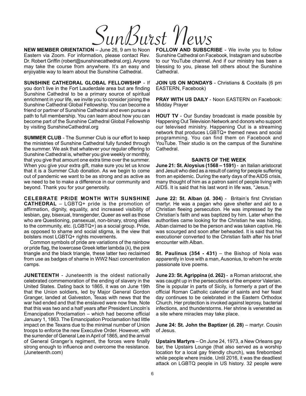SunBurst M

**NEW MEMBER ORIENTATION** – June 26, 9 am to Noon Eastern via Zoom. For information, please contact Rev. Dr. Robert Griffin (robert@sunshinecathedral.org). Anyone may take the course from anywhere. It's an easy and enjoyable way to learn about the Sunshine Cathedral.

**SUNSHINE CATHEDRAL GLOBAL FELLOWSHIP** - If you don't live in the Fort Lauderdale area but are finding Sunshine Cathedral to be a primary source of spiritual enrichment in your life, we invite you to consider joining the Sunshine Cathedral Global Fellowship. You can become a friend or partner of Sunshine Cathedral and even pursue a path to full membership. You can learn about how you can become part of the Sunshine Cathedral Global Fellowship by visiting SunshineCathedral.org

**SUMMER CLUB** - The Summer Club is our effort to keep the ministries of Sunshine Cathedral fully funded through the summer. We ask that whatever your regular offering to Sunshine Cathedral is, whether you give weekly or monthly, that you give that amount one extra time over the summer. When you give your extra gift, make sure you let us know that it is a Summer Club donation. As we begin to come out of pandemic we want to be as strong and as active as we need to be to make a difference in our community and beyond. Thank you for your generosity.

**CELEBRATE PRIDE MONTH WITH SUNSHINE CATHEDRAL** – LGBTQ+ pride is the promotion of affirmation, dignity, equality, and increased visibility of lesbian, gay, bisexual, transgender, Queer as well as those who are Questioning, pansexual, non-binary, strong allies to the community, etc. (LGBTQ+) as a social group. Pride, as opposed to shame and social stigma, is the view that bolsters most LGBTQ+ rights movements.

Common symbols of pride are variations of the rainbow or pride flag, the lowercase Greek letter lambda (λ), the pink triangle and the black triangle, these latter two reclaimed from use as badges of shame in WW2 Nazi concentration camps.

**JUNETEENTH** - Juneteenth is the oldest nationally celebrated commemoration of the ending of slavery in the United States. Dating back to 1865, it was on June 19th that the Union soldiers, led by Major General Gordon Granger, landed at Galveston, Texas with news that the war had ended and that the enslaved were now free. Note that this was two and a half years after President Lincoln's Emancipation Proclamation – which had become official January 1, 1863. The Emancipation Proclamation had little impact on the Texans due to the minimal number of Union troops to enforce the new Executive Order. However, with the surrender of General Lee in April of 1865, and the arrival of General Granger's regiment, the forces were finally strong enough to influence and overcome the resistance. (Juneteenth.com)

**FOLLOW AND SUBSCRIBE** - We invite you to follow Sunshine Cathedral on Facebook, Instagram and subscribe to our YouTube channel. And if our ministry has been a blessing to you, please tell others about the Sunshine Cathedral.

**JOIN US ON MONDAYS** - Christians & Cocktails (6 pm EASTERN, Facebook)

**PRAY WITH US DAILY** - Noon EASTERN on Facebook: Midday Prayer

**HOUT TV** - Our Sunday broadcast is made possible by Happening Out Television Network and donors who support our televised ministry. Happening Out is a streaming network that produces LGBTQ+ themed news and social programming. You can find them on Facebook and YouTube. Their studio is on the campus of the Sunshine Cathedral.

#### **SAINTS OF THE WEEK**

**June 21: St. Aloysius (1568 – 1591)** - an Italian aristocrat and Jesuit who died as a result of caring for people suffering from an epidemic. During the early days of the AIDS crisis, many thought of him as a patron saint of people living with AIDS. It is said that his last word in life was, "Jesus."

**June 22: St. Alban (d. 304)** - Britain's first Christian martyr. He was a pagan who gave shelter and aid to a Christian fleeing persecution. He was impressed by the Christian's faith and was baptized by him. Later when the authorities came looking for the Christian he was hiding, Alban claimed to be the person and was taken captive. He was scourged and soon after beheaded. It is said that his executioner converted to the Christian faith after his brief encounter with Alban.

**St. Paulinus (354 - 431)** – the Bishop of Nola was apparently in love with a man, Ausonius, to whom he wrote passionate love poems.

**June 23: St. Agrippina (d. 262)** - a Roman aristocrat, she was caught up in the persecutions of the emperor Valerian. She is popular in parts of Sicily, is formerly a part of the official Roman Catholic calendar of saints and her feast day continues to be celebrated in the Eastern Orthodox Church. Her protection is invoked against leprosy, bacterial infections, and thunderstorms. Her shrine is venerated as a site where miracles may take place.

**June 24: St. John the Baptizer (d. 28)** – martyr. Cousin of Jesus.

**Upstairs Martyrs** – On June 24, 1973, a New Orleans gay bar, the Upstairs Lounge (that also served as a worship location for a local gay friendly church), was firebombed while people where inside. Until 2016, it was the deadliest attack on LGBTQ people in US history. 32 people were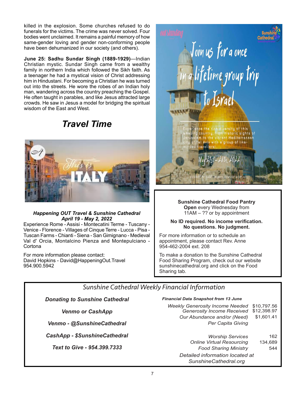killed in the explosion. Some churches refused to do funerals for the victims. The crime was never solved. Four bodies went unclaimed. It remains a painful memory of how same-gender loving and gender non-conforming people have been dehumanized in our society (and others).

**June 25: Sadhu Sundar Singh (1889-1929)**—Indian Christian mystic. Sundar Singh came from a wealthy family in northern India which followed the Sikh faith. As a teenager he had a mystical vision of Christ addressing him in Hindustani. For becoming a Christian he was turned out into the streets. He wore the robes of an Indian holy man, wandering across the country preaching the Gospel. He often taught in parables, and like Jesus attracted large crowds. He saw in Jesus a model for bridging the spiritual wisdom of the East and West.

# *Travel Time*



### *Happening OUT Travel & Sunshine Cathedral April 19 - May 2, 2022*

Experience Rome - Assisi - Montecatini Terme - Tuscany - Venice - Florence - Villages of Cinque Terre - Lucca - Pisa - Tuscan Farms - Chianti - Siena - San Gimignano - Medieval Val d' Orcia, Montalcino Pienza and Montepulciano - **Cortona** 

For more information please contact: David Hopkins - David@HappeningOut.Travel 954.900.5942



**Sunshine Cathedral Food Pantry Open** every Wednesday from 11AM – ?? or by appointment

#### **No ID required. No income verification. No questions. No judgment.**

For more information or to schedule an appointment, please contact Rev. Anne 954-462-2004 ext. 208

To make a donation to the Sunshine Cathedral Food Sharing Program, check out our website sunshinecathedral.org and click on the Food Sharing tab.

# *Sunshine Cathedral Weekly Financial Information*

*Donating to Sunshine Cathedral* 

*Venmo or CashApp*

*Venmo - @SunshineCathedral*

*CashApp - \$SunshineCathedral*

*Text to Give - 954.399.7333*

#### *Financial Data Snapshot from 13 June*

| Weekly Generosity Income Needed \$10,797.56<br>Generosity Income Received \$12,398.97 |            |
|---------------------------------------------------------------------------------------|------------|
| Our Abundance and/or (Need)                                                           | \$1,601.41 |
| Per Capita Giving                                                                     |            |
|                                                                                       |            |

| <b>Worship Services</b>          | 162     |
|----------------------------------|---------|
| <b>Online Virtual Resourcing</b> | 134,689 |
| <b>Food Sharing Ministry</b>     | 544     |
| Detailed information located at  |         |
| SunshineCathedral.org            |         |